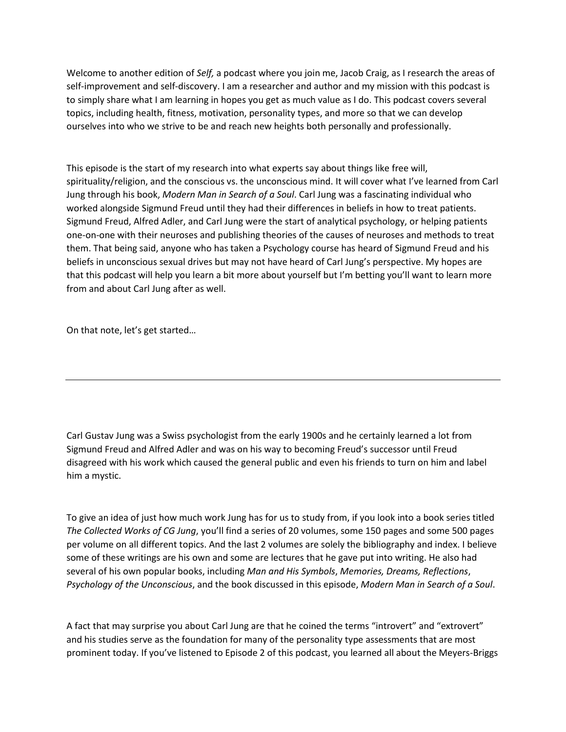Welcome to another edition of *Self,* a podcast where you join me, Jacob Craig, as I research the areas of self-improvement and self-discovery. I am a researcher and author and my mission with this podcast is to simply share what I am learning in hopes you get as much value as I do. This podcast covers several topics, including health, fitness, motivation, personality types, and more so that we can develop ourselves into who we strive to be and reach new heights both personally and professionally.

This episode is the start of my research into what experts say about things like free will, spirituality/religion, and the conscious vs. the unconscious mind. It will cover what I've learned from Carl Jung through his book, *Modern Man in Search of a Soul*. Carl Jung was a fascinating individual who worked alongside Sigmund Freud until they had their differences in beliefs in how to treat patients. Sigmund Freud, Alfred Adler, and Carl Jung were the start of analytical psychology, or helping patients one-on-one with their neuroses and publishing theories of the causes of neuroses and methods to treat them. That being said, anyone who has taken a Psychology course has heard of Sigmund Freud and his beliefs in unconscious sexual drives but may not have heard of Carl Jung's perspective. My hopes are that this podcast will help you learn a bit more about yourself but I'm betting you'll want to learn more from and about Carl Jung after as well.

On that note, let's get started…

Carl Gustav Jung was a Swiss psychologist from the early 1900s and he certainly learned a lot from Sigmund Freud and Alfred Adler and was on his way to becoming Freud's successor until Freud disagreed with his work which caused the general public and even his friends to turn on him and label him a mystic.

To give an idea of just how much work Jung has for us to study from, if you look into a book series titled *The Collected Works of CG Jung*, you'll find a series of 20 volumes, some 150 pages and some 500 pages per volume on all different topics. And the last 2 volumes are solely the bibliography and index. I believe some of these writings are his own and some are lectures that he gave put into writing. He also had several of his own popular books, including *Man and His Symbols*, *Memories, Dreams, Reflections*, *Psychology of the Unconscious*, and the book discussed in this episode, *Modern Man in Search of a Soul*.

A fact that may surprise you about Carl Jung are that he coined the terms "introvert" and "extrovert" and his studies serve as the foundation for many of the personality type assessments that are most prominent today. If you've listened to Episode 2 of this podcast, you learned all about the Meyers-Briggs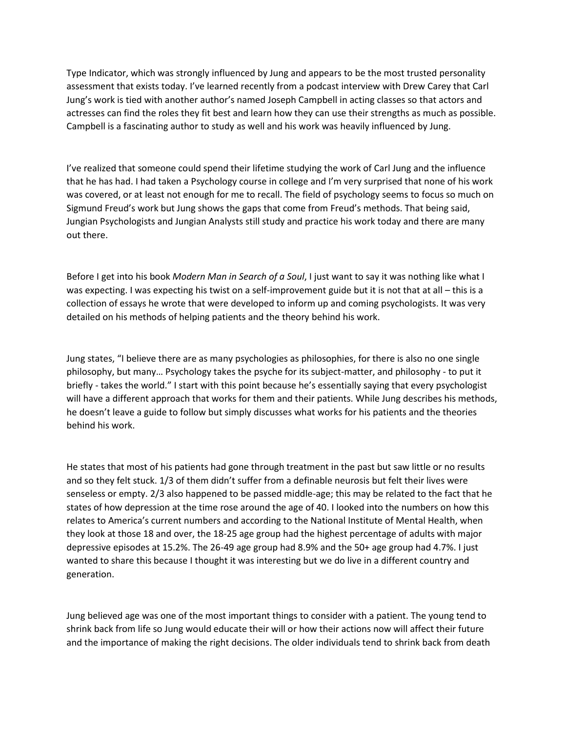Type Indicator, which was strongly influenced by Jung and appears to be the most trusted personality assessment that exists today. I've learned recently from a podcast interview with Drew Carey that Carl Jung's work is tied with another author's named Joseph Campbell in acting classes so that actors and actresses can find the roles they fit best and learn how they can use their strengths as much as possible. Campbell is a fascinating author to study as well and his work was heavily influenced by Jung.

I've realized that someone could spend their lifetime studying the work of Carl Jung and the influence that he has had. I had taken a Psychology course in college and I'm very surprised that none of his work was covered, or at least not enough for me to recall. The field of psychology seems to focus so much on Sigmund Freud's work but Jung shows the gaps that come from Freud's methods. That being said, Jungian Psychologists and Jungian Analysts still study and practice his work today and there are many out there.

Before I get into his book *Modern Man in Search of a Soul*, I just want to say it was nothing like what I was expecting. I was expecting his twist on a self-improvement guide but it is not that at all – this is a collection of essays he wrote that were developed to inform up and coming psychologists. It was very detailed on his methods of helping patients and the theory behind his work.

Jung states, "I believe there are as many psychologies as philosophies, for there is also no one single philosophy, but many… Psychology takes the psyche for its subject-matter, and philosophy - to put it briefly - takes the world." I start with this point because he's essentially saying that every psychologist will have a different approach that works for them and their patients. While Jung describes his methods, he doesn't leave a guide to follow but simply discusses what works for his patients and the theories behind his work.

He states that most of his patients had gone through treatment in the past but saw little or no results and so they felt stuck. 1/3 of them didn't suffer from a definable neurosis but felt their lives were senseless or empty. 2/3 also happened to be passed middle-age; this may be related to the fact that he states of how depression at the time rose around the age of 40. I looked into the numbers on how this relates to America's current numbers and according to the National Institute of Mental Health, when they look at those 18 and over, the 18-25 age group had the highest percentage of adults with major depressive episodes at 15.2%. The 26-49 age group had 8.9% and the 50+ age group had 4.7%. I just wanted to share this because I thought it was interesting but we do live in a different country and generation.

Jung believed age was one of the most important things to consider with a patient. The young tend to shrink back from life so Jung would educate their will or how their actions now will affect their future and the importance of making the right decisions. The older individuals tend to shrink back from death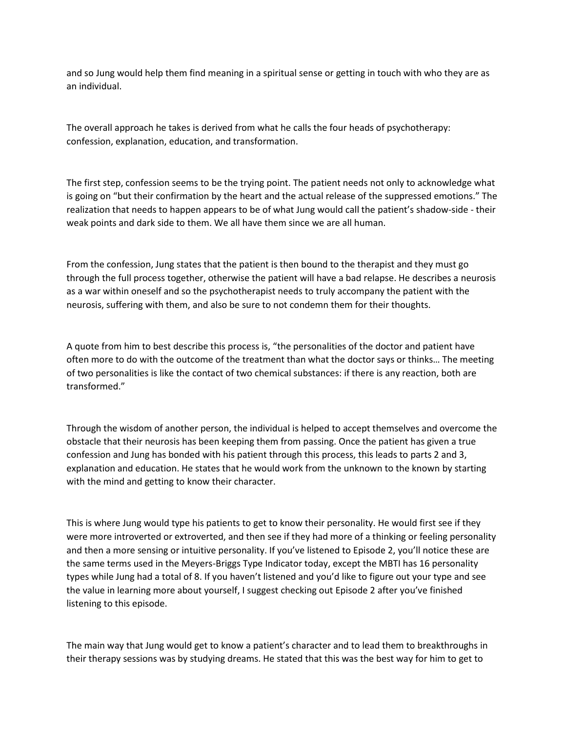and so Jung would help them find meaning in a spiritual sense or getting in touch with who they are as an individual.

The overall approach he takes is derived from what he calls the four heads of psychotherapy: confession, explanation, education, and transformation.

The first step, confession seems to be the trying point. The patient needs not only to acknowledge what is going on "but their confirmation by the heart and the actual release of the suppressed emotions." The realization that needs to happen appears to be of what Jung would call the patient's shadow-side - their weak points and dark side to them. We all have them since we are all human.

From the confession, Jung states that the patient is then bound to the therapist and they must go through the full process together, otherwise the patient will have a bad relapse. He describes a neurosis as a war within oneself and so the psychotherapist needs to truly accompany the patient with the neurosis, suffering with them, and also be sure to not condemn them for their thoughts.

A quote from him to best describe this process is, "the personalities of the doctor and patient have often more to do with the outcome of the treatment than what the doctor says or thinks… The meeting of two personalities is like the contact of two chemical substances: if there is any reaction, both are transformed."

Through the wisdom of another person, the individual is helped to accept themselves and overcome the obstacle that their neurosis has been keeping them from passing. Once the patient has given a true confession and Jung has bonded with his patient through this process, this leads to parts 2 and 3, explanation and education. He states that he would work from the unknown to the known by starting with the mind and getting to know their character.

This is where Jung would type his patients to get to know their personality. He would first see if they were more introverted or extroverted, and then see if they had more of a thinking or feeling personality and then a more sensing or intuitive personality. If you've listened to Episode 2, you'll notice these are the same terms used in the Meyers-Briggs Type Indicator today, except the MBTI has 16 personality types while Jung had a total of 8. If you haven't listened and you'd like to figure out your type and see the value in learning more about yourself, I suggest checking out Episode 2 after you've finished listening to this episode.

The main way that Jung would get to know a patient's character and to lead them to breakthroughs in their therapy sessions was by studying dreams. He stated that this was the best way for him to get to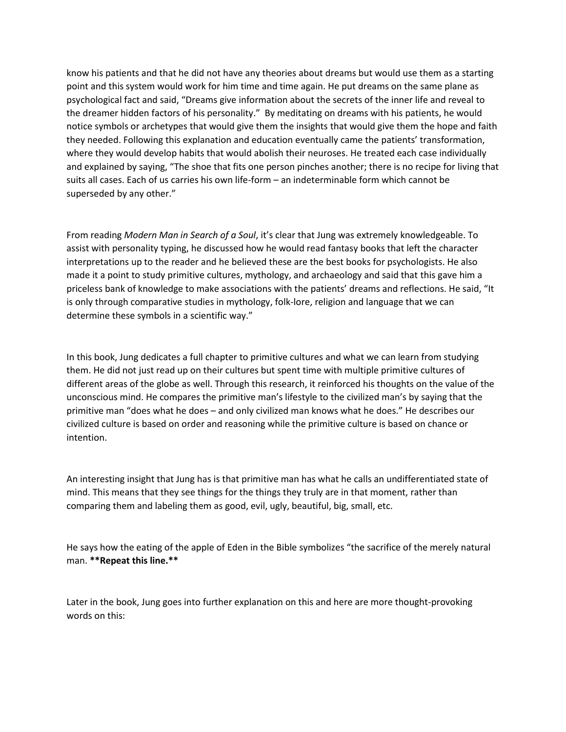know his patients and that he did not have any theories about dreams but would use them as a starting point and this system would work for him time and time again. He put dreams on the same plane as psychological fact and said, "Dreams give information about the secrets of the inner life and reveal to the dreamer hidden factors of his personality." By meditating on dreams with his patients, he would notice symbols or archetypes that would give them the insights that would give them the hope and faith they needed. Following this explanation and education eventually came the patients' transformation, where they would develop habits that would abolish their neuroses. He treated each case individually and explained by saying, "The shoe that fits one person pinches another; there is no recipe for living that suits all cases. Each of us carries his own life-form – an indeterminable form which cannot be superseded by any other."

From reading *Modern Man in Search of a Soul*, it's clear that Jung was extremely knowledgeable. To assist with personality typing, he discussed how he would read fantasy books that left the character interpretations up to the reader and he believed these are the best books for psychologists. He also made it a point to study primitive cultures, mythology, and archaeology and said that this gave him a priceless bank of knowledge to make associations with the patients' dreams and reflections. He said, "It is only through comparative studies in mythology, folk-lore, religion and language that we can determine these symbols in a scientific way."

In this book, Jung dedicates a full chapter to primitive cultures and what we can learn from studying them. He did not just read up on their cultures but spent time with multiple primitive cultures of different areas of the globe as well. Through this research, it reinforced his thoughts on the value of the unconscious mind. He compares the primitive man's lifestyle to the civilized man's by saying that the primitive man "does what he does – and only civilized man knows what he does." He describes our civilized culture is based on order and reasoning while the primitive culture is based on chance or intention.

An interesting insight that Jung has is that primitive man has what he calls an undifferentiated state of mind. This means that they see things for the things they truly are in that moment, rather than comparing them and labeling them as good, evil, ugly, beautiful, big, small, etc.

He says how the eating of the apple of Eden in the Bible symbolizes "the sacrifice of the merely natural man. **\*\*Repeat this line.\*\***

Later in the book, Jung goes into further explanation on this and here are more thought-provoking words on this: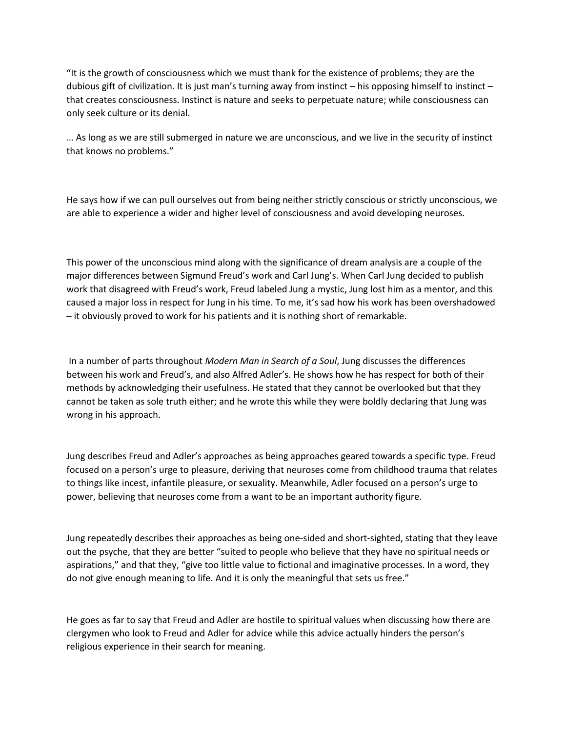"It is the growth of consciousness which we must thank for the existence of problems; they are the dubious gift of civilization. It is just man's turning away from instinct – his opposing himself to instinct – that creates consciousness. Instinct is nature and seeks to perpetuate nature; while consciousness can only seek culture or its denial.

… As long as we are still submerged in nature we are unconscious, and we live in the security of instinct that knows no problems."

He says how if we can pull ourselves out from being neither strictly conscious or strictly unconscious, we are able to experience a wider and higher level of consciousness and avoid developing neuroses.

This power of the unconscious mind along with the significance of dream analysis are a couple of the major differences between Sigmund Freud's work and Carl Jung's. When Carl Jung decided to publish work that disagreed with Freud's work, Freud labeled Jung a mystic, Jung lost him as a mentor, and this caused a major loss in respect for Jung in his time. To me, it's sad how his work has been overshadowed – it obviously proved to work for his patients and it is nothing short of remarkable.

In a number of parts throughout *Modern Man in Search of a Soul*, Jung discusses the differences between his work and Freud's, and also Alfred Adler's. He shows how he has respect for both of their methods by acknowledging their usefulness. He stated that they cannot be overlooked but that they cannot be taken as sole truth either; and he wrote this while they were boldly declaring that Jung was wrong in his approach.

Jung describes Freud and Adler's approaches as being approaches geared towards a specific type. Freud focused on a person's urge to pleasure, deriving that neuroses come from childhood trauma that relates to things like incest, infantile pleasure, or sexuality. Meanwhile, Adler focused on a person's urge to power, believing that neuroses come from a want to be an important authority figure.

Jung repeatedly describes their approaches as being one-sided and short-sighted, stating that they leave out the psyche, that they are better "suited to people who believe that they have no spiritual needs or aspirations," and that they, "give too little value to fictional and imaginative processes. In a word, they do not give enough meaning to life. And it is only the meaningful that sets us free."

He goes as far to say that Freud and Adler are hostile to spiritual values when discussing how there are clergymen who look to Freud and Adler for advice while this advice actually hinders the person's religious experience in their search for meaning.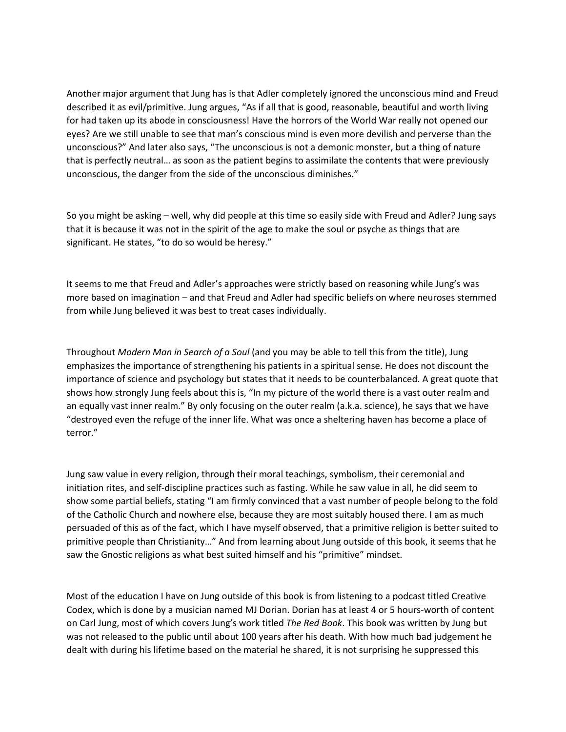Another major argument that Jung has is that Adler completely ignored the unconscious mind and Freud described it as evil/primitive. Jung argues, "As if all that is good, reasonable, beautiful and worth living for had taken up its abode in consciousness! Have the horrors of the World War really not opened our eyes? Are we still unable to see that man's conscious mind is even more devilish and perverse than the unconscious?" And later also says, "The unconscious is not a demonic monster, but a thing of nature that is perfectly neutral… as soon as the patient begins to assimilate the contents that were previously unconscious, the danger from the side of the unconscious diminishes."

So you might be asking – well, why did people at this time so easily side with Freud and Adler? Jung says that it is because it was not in the spirit of the age to make the soul or psyche as things that are significant. He states, "to do so would be heresy."

It seems to me that Freud and Adler's approaches were strictly based on reasoning while Jung's was more based on imagination – and that Freud and Adler had specific beliefs on where neuroses stemmed from while Jung believed it was best to treat cases individually.

Throughout *Modern Man in Search of a Soul* (and you may be able to tell this from the title), Jung emphasizes the importance of strengthening his patients in a spiritual sense. He does not discount the importance of science and psychology but states that it needs to be counterbalanced. A great quote that shows how strongly Jung feels about this is, "In my picture of the world there is a vast outer realm and an equally vast inner realm." By only focusing on the outer realm (a.k.a. science), he says that we have "destroyed even the refuge of the inner life. What was once a sheltering haven has become a place of terror."

Jung saw value in every religion, through their moral teachings, symbolism, their ceremonial and initiation rites, and self-discipline practices such as fasting. While he saw value in all, he did seem to show some partial beliefs, stating "I am firmly convinced that a vast number of people belong to the fold of the Catholic Church and nowhere else, because they are most suitably housed there. I am as much persuaded of this as of the fact, which I have myself observed, that a primitive religion is better suited to primitive people than Christianity…" And from learning about Jung outside of this book, it seems that he saw the Gnostic religions as what best suited himself and his "primitive" mindset.

Most of the education I have on Jung outside of this book is from listening to a podcast titled Creative Codex, which is done by a musician named MJ Dorian. Dorian has at least 4 or 5 hours-worth of content on Carl Jung, most of which covers Jung's work titled *The Red Book*. This book was written by Jung but was not released to the public until about 100 years after his death. With how much bad judgement he dealt with during his lifetime based on the material he shared, it is not surprising he suppressed this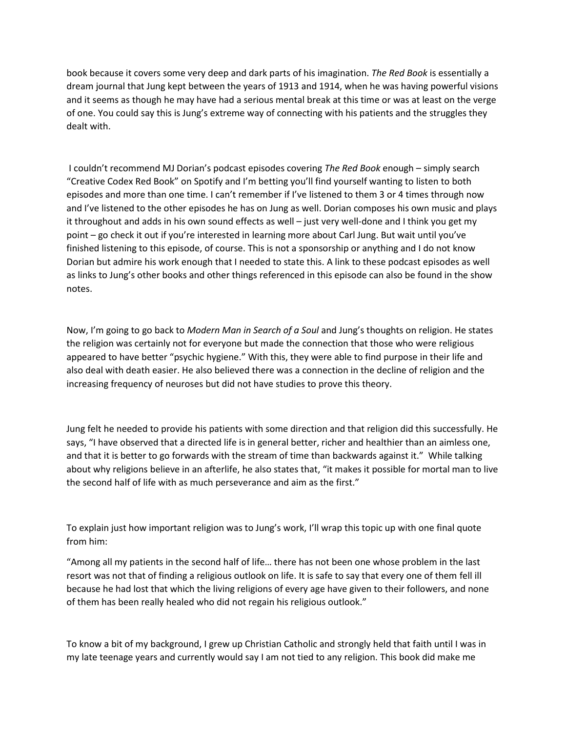book because it covers some very deep and dark parts of his imagination. *The Red Book* is essentially a dream journal that Jung kept between the years of 1913 and 1914, when he was having powerful visions and it seems as though he may have had a serious mental break at this time or was at least on the verge of one. You could say this is Jung's extreme way of connecting with his patients and the struggles they dealt with.

I couldn't recommend MJ Dorian's podcast episodes covering *The Red Book* enough – simply search "Creative Codex Red Book" on Spotify and I'm betting you'll find yourself wanting to listen to both episodes and more than one time. I can't remember if I've listened to them 3 or 4 times through now and I've listened to the other episodes he has on Jung as well. Dorian composes his own music and plays it throughout and adds in his own sound effects as well – just very well-done and I think you get my point – go check it out if you're interested in learning more about Carl Jung. But wait until you've finished listening to this episode, of course. This is not a sponsorship or anything and I do not know Dorian but admire his work enough that I needed to state this. A link to these podcast episodes as well as links to Jung's other books and other things referenced in this episode can also be found in the show notes.

Now, I'm going to go back to *Modern Man in Search of a Soul* and Jung's thoughts on religion. He states the religion was certainly not for everyone but made the connection that those who were religious appeared to have better "psychic hygiene." With this, they were able to find purpose in their life and also deal with death easier. He also believed there was a connection in the decline of religion and the increasing frequency of neuroses but did not have studies to prove this theory.

Jung felt he needed to provide his patients with some direction and that religion did this successfully. He says, "I have observed that a directed life is in general better, richer and healthier than an aimless one, and that it is better to go forwards with the stream of time than backwards against it." While talking about why religions believe in an afterlife, he also states that, "it makes it possible for mortal man to live the second half of life with as much perseverance and aim as the first."

To explain just how important religion was to Jung's work, I'll wrap this topic up with one final quote from him:

"Among all my patients in the second half of life… there has not been one whose problem in the last resort was not that of finding a religious outlook on life. It is safe to say that every one of them fell ill because he had lost that which the living religions of every age have given to their followers, and none of them has been really healed who did not regain his religious outlook."

To know a bit of my background, I grew up Christian Catholic and strongly held that faith until I was in my late teenage years and currently would say I am not tied to any religion. This book did make me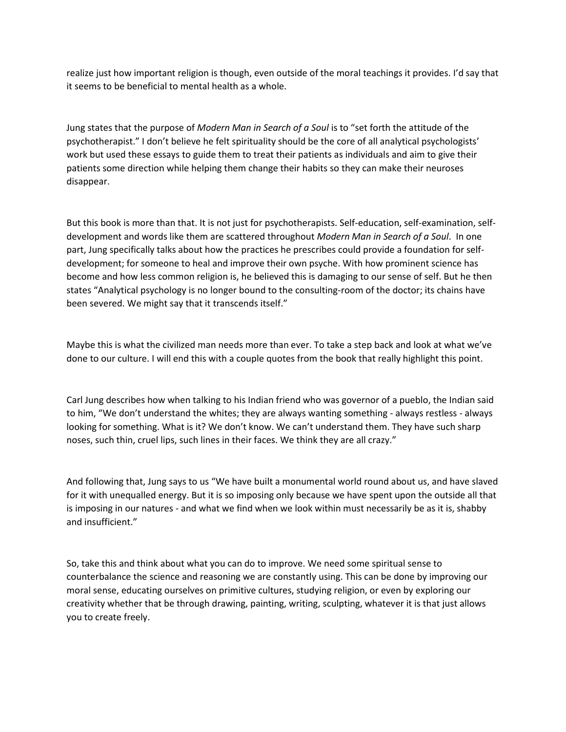realize just how important religion is though, even outside of the moral teachings it provides. I'd say that it seems to be beneficial to mental health as a whole.

Jung states that the purpose of *Modern Man in Search of a Soul* is to "set forth the attitude of the psychotherapist." I don't believe he felt spirituality should be the core of all analytical psychologists' work but used these essays to guide them to treat their patients as individuals and aim to give their patients some direction while helping them change their habits so they can make their neuroses disappear.

But this book is more than that. It is not just for psychotherapists. Self-education, self-examination, selfdevelopment and words like them are scattered throughout *Modern Man in Search of a Soul*. In one part, Jung specifically talks about how the practices he prescribes could provide a foundation for selfdevelopment; for someone to heal and improve their own psyche. With how prominent science has become and how less common religion is, he believed this is damaging to our sense of self. But he then states "Analytical psychology is no longer bound to the consulting-room of the doctor; its chains have been severed. We might say that it transcends itself."

Maybe this is what the civilized man needs more than ever. To take a step back and look at what we've done to our culture. I will end this with a couple quotes from the book that really highlight this point.

Carl Jung describes how when talking to his Indian friend who was governor of a pueblo, the Indian said to him, "We don't understand the whites; they are always wanting something - always restless - always looking for something. What is it? We don't know. We can't understand them. They have such sharp noses, such thin, cruel lips, such lines in their faces. We think they are all crazy."

And following that, Jung says to us "We have built a monumental world round about us, and have slaved for it with unequalled energy. But it is so imposing only because we have spent upon the outside all that is imposing in our natures - and what we find when we look within must necessarily be as it is, shabby and insufficient."

So, take this and think about what you can do to improve. We need some spiritual sense to counterbalance the science and reasoning we are constantly using. This can be done by improving our moral sense, educating ourselves on primitive cultures, studying religion, or even by exploring our creativity whether that be through drawing, painting, writing, sculpting, whatever it is that just allows you to create freely.